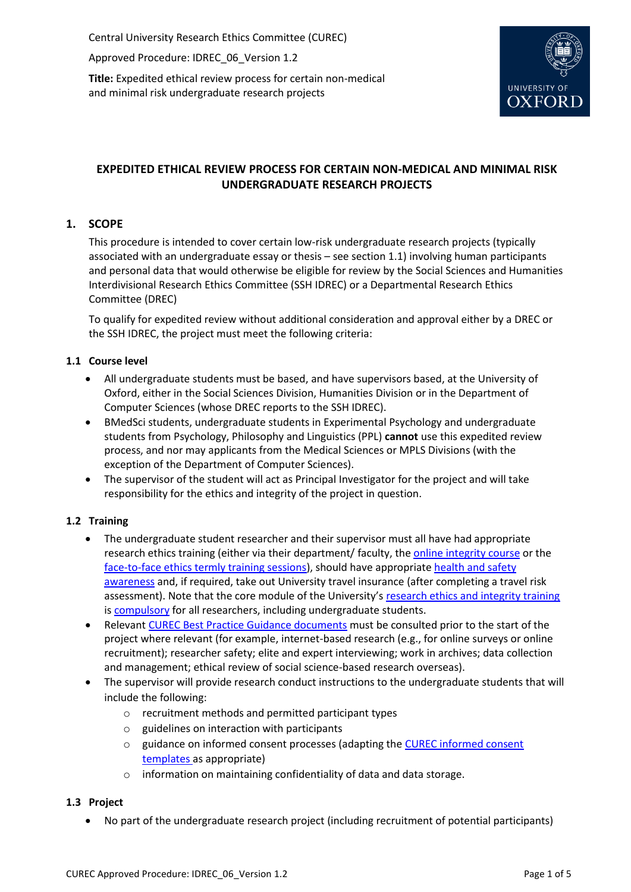Central University Research Ethics Committee (CUREC)

Approved Procedure: IDREC\_06\_Version 1.2

**Title:** Expedited ethical review process for certain non-medical and minimal risk undergraduate research projects



# **EXPEDITED ETHICAL REVIEW PROCESS FOR CERTAIN NON-MEDICAL AND MINIMAL RISK UNDERGRADUATE RESEARCH PROJECTS**

# **1. SCOPE**

This procedure is intended to cover certain low-risk undergraduate research projects (typically associated with an undergraduate essay or thesis – see section 1.1) involving human participants and personal data that would otherwise be eligible for review by the Social Sciences and Humanities Interdivisional Research Ethics Committee (SSH IDREC) or a Departmental Research Ethics Committee (DREC)

To qualify for expedited review without additional consideration and approval either by a DREC or the SSH IDREC, the project must meet the following criteria:

# **1.1 Course level**

- All undergraduate students must be based, and have supervisors based, at the University of Oxford, either in the Social Sciences Division, Humanities Division or in the Department of Computer Sciences (whose DREC reports to the SSH IDREC).
- BMedSci students, undergraduate students in Experimental Psychology and undergraduate students from Psychology, Philosophy and Linguistics (PPL) **cannot** use this expedited review process, and nor may applicants from the Medical Sciences or MPLS Divisions (with the exception of the Department of Computer Sciences).
- The supervisor of the student will act as Principal Investigator for the project and will take responsibility for the ethics and integrity of the project in question.

# **1.2 Training**

- The undergraduate student researcher and their supervisor must all have had appropriate research ethics training (either via their department/ faculty, the [online integrity course](https://researchsupport.admin.ox.ac.uk/support/training/ethics) or the [face-to-face ethics termly training sessions\)](https://researchsupport.admin.ox.ac.uk/support/training/ethics#tab-268866), should have appropriat[e health and safety](http://www.admin.ox.ac.uk/safety/overseastravelfieldwork/)  [awareness](http://www.admin.ox.ac.uk/safety/overseastravelfieldwork/) and, if required, take out University travel insurance (after completing a travel risk assessment). Note that the core module of the University's [research ethics and integrity training](https://researchsupport.admin.ox.ac.uk/support/training/ethics) i[s compulsory](https://researchsupport.admin.ox.ac.uk/article/research-integrity-online-training) for all researchers, including undergraduate students.
- Relevant [CUREC Best Practice Guidance documents](https://researchsupport.admin.ox.ac.uk/governance/ethics/resources/bpg) must be consulted prior to the start of the project where relevant (for example, internet-based research (e.g., for online surveys or online recruitment); researcher safety; elite and expert interviewing; work in archives; data collection and management; ethical review of social science-based research overseas).
- The supervisor will provide research conduct instructions to the undergraduate students that will include the following:
	- o recruitment methods and permitted participant types
	- o guidelines on interaction with participants
	- o guidance on informed consent processes (adapting the [CUREC informed consent](https://researchsupport.admin.ox.ac.uk/governance/ethics/resources/consent#collapse281101)  [templates](https://researchsupport.admin.ox.ac.uk/governance/ethics/resources/consent#collapse281101) as appropriate)
	- o information on maintaining confidentiality of data and data storage.

# **1.3 Project**

No part of the undergraduate research project (including recruitment of potential participants)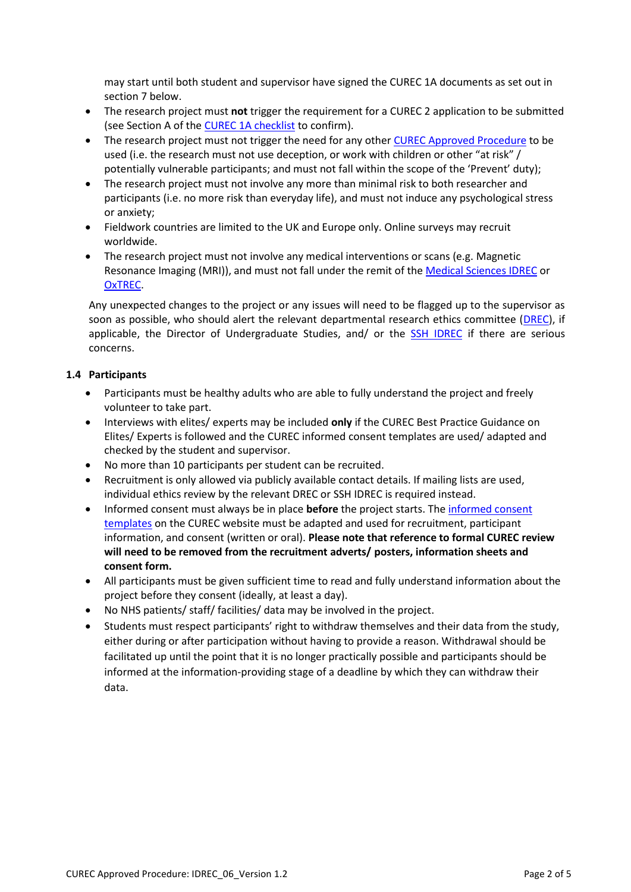may start until both student and supervisor have signed the CUREC 1A documents as set out in section 7 below.

- The research project must **not** trigger the requirement for a CUREC 2 application to be submitted (see Section A of the [CUREC 1A checklist](https://researchsupport.admin.ox.ac.uk/governance/ethics/apply/sshidrec#collapse394891) to confirm).
- The research project must not trigger the need for any othe[r CUREC Approved Procedure](https://researchsupport.admin.ox.ac.uk/governance/ethics/resources/ap) to be used (i.e. the research must not use deception, or work with children or other "at risk" / potentially vulnerable participants; and must not fall within the scope of the 'Prevent' duty);
- The research project must not involve any more than minimal risk to both researcher and participants (i.e. no more risk than everyday life), and must not induce any psychological stress or anxiety;
- Fieldwork countries are limited to the UK and Europe only. Online surveys may recruit worldwide.
- The research project must not involve any medical interventions or scans (e.g. Magnetic Resonance Imaging (MRI)), and must not fall under the remit of th[e Medical Sciences IDREC](https://researchsupport.admin.ox.ac.uk/governance/ethics/committees/msidrec) or [OxTREC.](https://researchsupport.admin.ox.ac.uk/governance/ethics/committees/oxtrec)

Any unexpected changes to the project or any issues will need to be flagged up to the supervisor as soon as possible, who should alert the relevant departmental research ethics committee [\(DREC\)](https://researchsupport.admin.ox.ac.uk/governance/ethics/committees/drecs#collapse394996), if applicable, the Director of Undergraduate Studies, and/ or the [SSH IDREC](https://researchsupport.admin.ox.ac.uk/governance/ethics/committees/sshidrec) if there are serious concerns.

# **1.4 Participants**

- Participants must be healthy adults who are able to fully understand the project and freely volunteer to take part.
- Interviews with elites/ experts may be included **only** if the CUREC Best Practice Guidance on Elites/ Experts is followed and the CUREC informed consent templates are used/ adapted and checked by the student and supervisor.
- No more than 10 participants per student can be recruited.
- Recruitment is only allowed via publicly available contact details. If mailing lists are used, individual ethics review by the relevant DREC or SSH IDREC is required instead.
- Informed consent must always be in place **before** the project starts. The [informed consent](https://researchsupport.admin.ox.ac.uk/governance/ethics/resources/consent#collapse281101)  [templates](https://researchsupport.admin.ox.ac.uk/governance/ethics/resources/consent#collapse281101) on the CUREC website must be adapted and used for recruitment, participant information, and consent (written or oral). **Please note that reference to formal CUREC review will need to be removed from the recruitment adverts/ posters, information sheets and consent form.**
- All participants must be given sufficient time to read and fully understand information about the project before they consent (ideally, at least a day).
- No NHS patients/ staff/ facilities/ data may be involved in the project.
- Students must respect participants' right to withdraw themselves and their data from the study, either during or after participation without having to provide a reason. Withdrawal should be facilitated up until the point that it is no longer practically possible and participants should be informed at the information-providing stage of a deadline by which they can withdraw their data.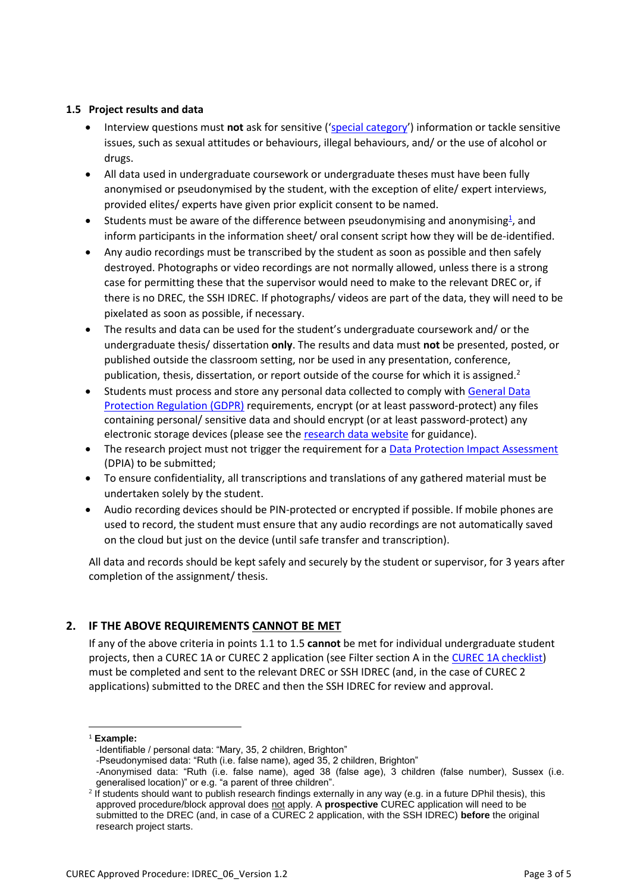#### **1.5 Project results and data**

- Interview questions must **not** ask for sensitive ('[special category](https://ico.org.uk/for-organisations/guide-to-data-protection/guide-to-the-general-data-protection-regulation-gdpr/lawful-basis-for-processing/special-category-data/)') information or tackle sensitive issues, such as sexual attitudes or behaviours, illegal behaviours, and/ or the use of alcohol or drugs.
- All data used in undergraduate coursework or undergraduate theses must have been fully anonymised or pseudonymised by the student, with the exception of elite/ expert interviews, provided elites/ experts have given prior explicit consent to be named.
- Students must be aware of the difference between pseudonymising and anonymising<sup>1</sup>, and inform participants in the information sheet/ oral consent script how they will be de-identified.
- Any audio recordings must be transcribed by the student as soon as possible and then safely destroyed. Photographs or video recordings are not normally allowed, unless there is a strong case for permitting these that the supervisor would need to make to the relevant DREC or, if there is no DREC, the SSH IDREC. If photographs/ videos are part of the data, they will need to be pixelated as soon as possible, if necessary.
- The results and data can be used for the student's undergraduate coursework and/ or the undergraduate thesis/ dissertation **only**. The results and data must **not** be presented, posted, or published outside the classroom setting, nor be used in any presentation, conference, publication, thesis, dissertation, or report outside of the course for which it is assigned.<sup>2</sup>
- Students must process and store any personal data collected to comply wit[h General Data](https://researchsupport.admin.ox.ac.uk/policy/data/scope)  [Protection Regulation \(GDPR\)](https://researchsupport.admin.ox.ac.uk/policy/data/scope) requirements, encrypt (or at least password-protect) any files containing personal/ sensitive data and should encrypt (or at least password-protect) any electronic storage devices (please see th[e research data website](http://researchdata.ox.ac.uk/) for guidance).
- The research project must not trigger the requirement for [a Data Protection Impact Assessment](https://researchsupport.admin.ox.ac.uk/policy/data/responsibilities#collapse461751) (DPIA) to be submitted;
- To ensure confidentiality, all transcriptions and translations of any gathered material must be undertaken solely by the student.
- Audio recording devices should be PIN-protected or encrypted if possible. If mobile phones are used to record, the student must ensure that any audio recordings are not automatically saved on the cloud but just on the device (until safe transfer and transcription).

All data and records should be kept safely and securely by the student or supervisor, for 3 years after completion of the assignment/ thesis.

# **2. IF THE ABOVE REQUIREMENTS CANNOT BE MET**

If any of the above criteria in points 1.1 to 1.5 **cannot** be met for individual undergraduate student projects, then a CUREC 1A or CUREC 2 application (see Filter section A in th[e CUREC 1A checklist\)](https://researchsupport.admin.ox.ac.uk/governance/ethics/apply/sshidrec#collapse394891) must be completed and sent to the relevant DREC or SSH IDREC (and, in the case of CUREC 2 applications) submitted to the DREC and then the SSH IDREC for review and approval.

 $\overline{a}$ 

<sup>1</sup> **Example:**

<sup>-</sup>Identifiable / personal data: "Mary, 35, 2 children, Brighton"

<sup>-</sup>Pseudonymised data: "Ruth (i.e. false name), aged 35, 2 children, Brighton"

<sup>-</sup>Anonymised data: "Ruth (i.e. false name), aged 38 (false age), 3 children (false number), Sussex (i.e. generalised location)" or e.g. "a parent of three children".

<sup>2</sup> If students should want to publish research findings externally in any way (e.g. in a future DPhil thesis), this approved procedure/block approval does not apply. A **prospective** CUREC application will need to be submitted to the DREC (and, in case of a CUREC 2 application, with the SSH IDREC) **before** the original research project starts.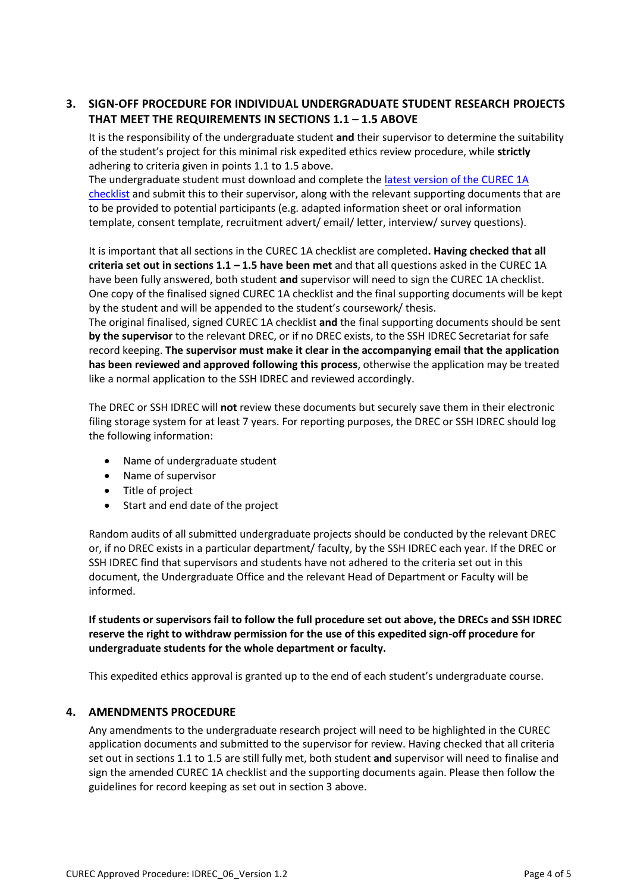# **3. SIGN-OFF PROCEDURE FOR INDIVIDUAL UNDERGRADUATE STUDENT RESEARCH PROJECTS THAT MEET THE REQUIREMENTS IN SECTIONS 1.1 – 1.5 ABOVE**

It is the responsibility of the undergraduate student **and** their supervisor to determine the suitability of the student's project for this minimal risk expedited ethics review procedure, while **strictly**  adhering to criteria given in points 1.1 to 1.5 above.

The undergraduate student must download and complete th[e latest version of the CUREC 1A](https://researchsupport.admin.ox.ac.uk/governance/ethics/apply/sshidrec#collapse394891)  [checklist](https://researchsupport.admin.ox.ac.uk/governance/ethics/apply/sshidrec#collapse394891) and submit this to their supervisor, along with the relevant supporting documents that are to be provided to potential participants (e.g. adapted information sheet or oral information template, consent template, recruitment advert/ email/ letter, interview/ survey questions).

It is important that all sections in the CUREC 1A checklist are completed**. Having checked that all criteria set out in sections 1.1 – 1.5 have been met** and that all questions asked in the CUREC 1A have been fully answered, both student **and** supervisor will need to sign the CUREC 1A checklist. One copy of the finalised signed CUREC 1A checklist and the final supporting documents will be kept by the student and will be appended to the student's coursework/ thesis.

The original finalised, signed CUREC 1A checklist **and** the final supporting documents should be sent **by the supervisor** to the relevant DREC, or if no DREC exists, to the SSH IDREC Secretariat for safe record keeping. **The supervisor must make it clear in the accompanying email that the application has been reviewed and approved following this process**, otherwise the application may be treated like a normal application to the SSH IDREC and reviewed accordingly.

The DREC or SSH IDREC will **not** review these documents but securely save them in their electronic filing storage system for at least 7 years. For reporting purposes, the DREC or SSH IDREC should log the following information:

- Name of undergraduate student
- Name of supervisor
- Title of project
- Start and end date of the project

Random audits of all submitted undergraduate projects should be conducted by the relevant DREC or, if no DREC exists in a particular department/ faculty, by the SSH IDREC each year. If the DREC or SSH IDREC find that supervisors and students have not adhered to the criteria set out in this document, the Undergraduate Office and the relevant Head of Department or Faculty will be informed.

**If students or supervisors fail to follow the full procedure set out above, the DRECs and SSH IDREC reserve the right to withdraw permission for the use of this expedited sign-off procedure for undergraduate students for the whole department or faculty.**

This expedited ethics approval is granted up to the end of each student's undergraduate course.

# **4. AMENDMENTS PROCEDURE**

Any amendments to the undergraduate research project will need to be highlighted in the CUREC application documents and submitted to the supervisor for review. Having checked that all criteria set out in sections 1.1 to 1.5 are still fully met, both student **and** supervisor will need to finalise and sign the amended CUREC 1A checklist and the supporting documents again. Please then follow the guidelines for record keeping as set out in section 3 above.